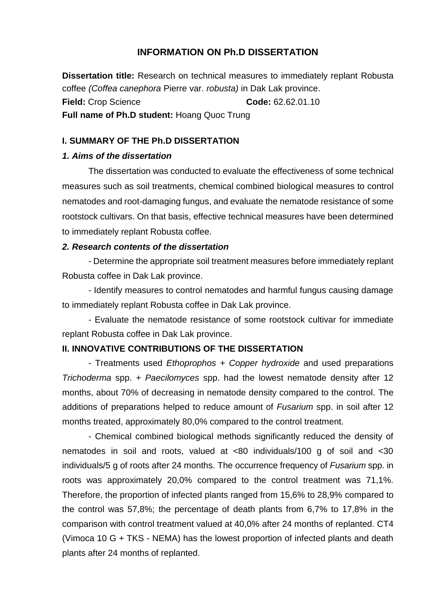## **INFORMATION ON Ph.D DISSERTATION**

**Dissertation title:** Research on technical measures to immediately replant Robusta coffee *(Coffea canephora* Pierre var. *robusta)* in Dak Lak province. **Field:** Crop Science **Code:** 62.62.01.10 **Full name of Ph.D student:** Hoang Quoc Trung

## **I. SUMMARY OF THE Ph.D DISSERTATION**

### *1. Aims of the dissertation*

The dissertation was conducted to evaluate the effectiveness of some technical measures such as soil treatments, chemical combined biological measures to control nematodes and root-damaging fungus, and evaluate the nematode resistance of some rootstock cultivars. On that basis, effective technical measures have been determined to immediately replant Robusta coffee.

#### *2. Research contents of the dissertation*

- Determine the appropriate soil treatment measures before immediately replant Robusta coffee in Dak Lak province.

- Identify measures to control nematodes and harmful fungus causing damage to immediately replant Robusta coffee in Dak Lak province.

- Evaluate the nematode resistance of some rootstock cultivar for immediate replant Robusta coffee in Dak Lak province.

## **II. INNOVATIVE CONTRIBUTIONS OF THE DISSERTATION**

- Treatments used *Ethoprophos* + *Copper hydroxide* and used preparations *Trichoderma* spp. + *Paecilomyces* spp. had the lowest nematode density after 12 months, about 70% of decreasing in nematode density compared to the control. The additions of preparations helped to reduce amount of *Fusarium* spp. in soil after 12 months treated, approximately 80,0% compared to the control treatment.

- Chemical combined biological methods significantly reduced the density of nematodes in soil and roots, valued at <80 individuals/100 g of soil and <30 individuals/5 g of roots after 24 months. The occurrence frequency of *Fusarium* spp. in roots was approximately 20,0% compared to the control treatment was 71,1%. Therefore, the proportion of infected plants ranged from 15,6% to 28,9% compared to the control was 57,8%; the percentage of death plants from 6,7% to 17,8% in the comparison with control treatment valued at 40,0% after 24 months of replanted. CT4 (Vimoca 10 G + TKS - NEMA) has the lowest proportion of infected plants and death plants after 24 months of replanted.